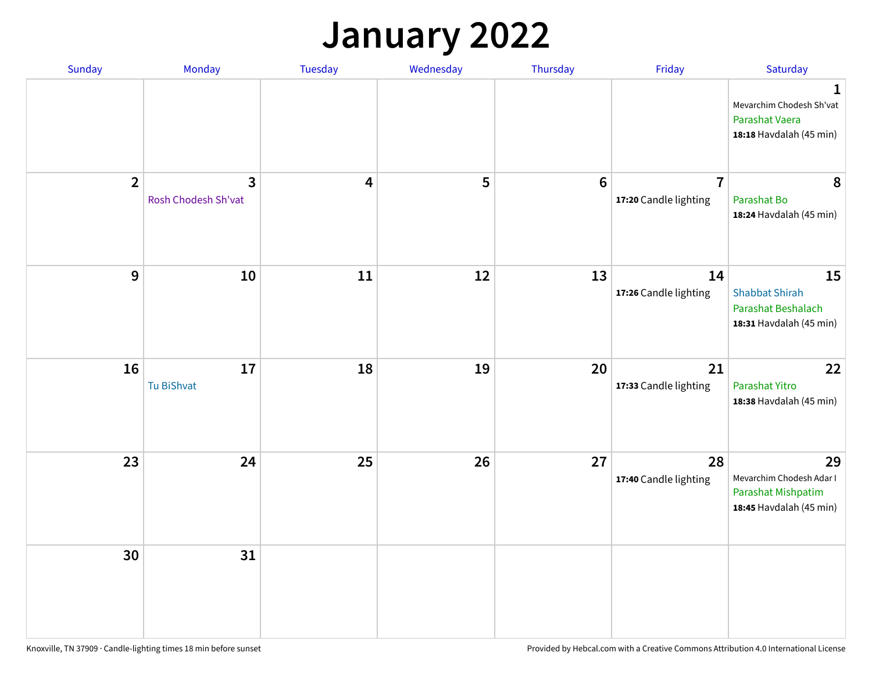## **January 2022**

| Sunday         | Monday                                | Tuesday                 | Wednesday | Thursday        | Friday                                  | Saturday                                                                        |
|----------------|---------------------------------------|-------------------------|-----------|-----------------|-----------------------------------------|---------------------------------------------------------------------------------|
|                |                                       |                         |           |                 |                                         | 1<br>Mevarchim Chodesh Sh'vat<br>Parashat Vaera<br>18:18 Havdalah (45 min)      |
| $\overline{2}$ | $\overline{3}$<br>Rosh Chodesh Sh'vat | $\overline{\mathbf{4}}$ | 5         | $6\phantom{1}6$ | $\overline{7}$<br>17:20 Candle lighting | 8<br>Parashat Bo<br>18:24 Havdalah (45 min)                                     |
| $9$            | 10                                    | 11                      | 12        | 13              | 14<br>17:26 Candle lighting             | 15<br><b>Shabbat Shirah</b><br>Parashat Beshalach<br>18:31 Havdalah (45 min)    |
| 16             | $17\,$<br>Tu BiShvat                  | 18                      | 19        | 20              | 21<br>17:33 Candle lighting             | 22<br>Parashat Yitro<br>18:38 Havdalah (45 min)                                 |
| 23             | 24                                    | 25                      | 26        | 27              | 28<br>17:40 Candle lighting             | 29<br>Mevarchim Chodesh Adar I<br>Parashat Mishpatim<br>18:45 Havdalah (45 min) |
| 30             | 31                                    |                         |           |                 |                                         |                                                                                 |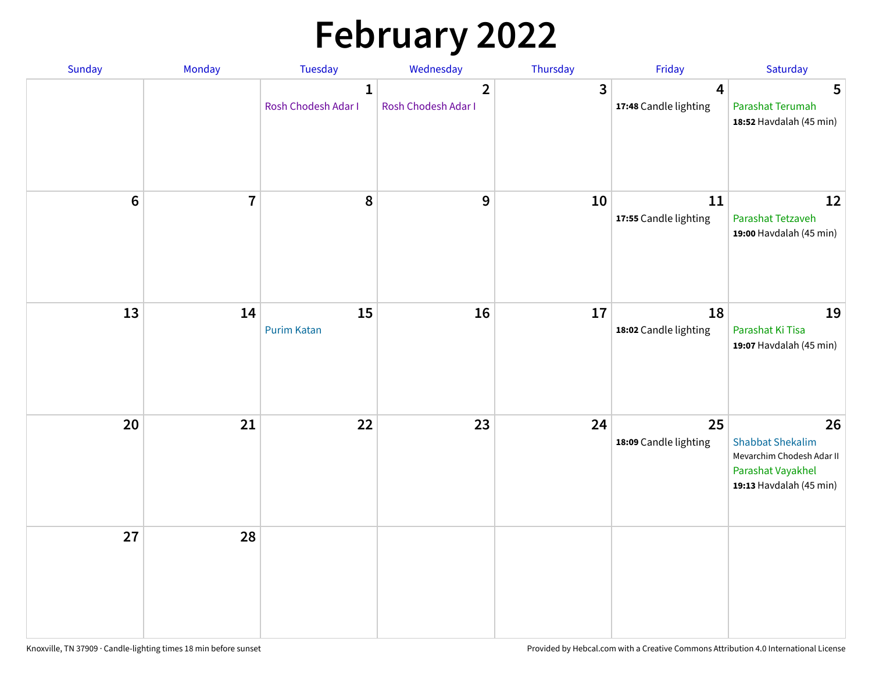# **February 2022**

| Sunday | Monday         | <b>Tuesday</b>                      | Wednesday                             | Thursday     | Friday                      | Saturday                                                                                                   |
|--------|----------------|-------------------------------------|---------------------------------------|--------------|-----------------------------|------------------------------------------------------------------------------------------------------------|
|        |                | $\mathbf{1}$<br>Rosh Chodesh Adar I | $\overline{2}$<br>Rosh Chodesh Adar I | $\mathbf{3}$ | 4<br>17:48 Candle lighting  | 5<br>Parashat Terumah<br>18:52 Havdalah (45 min)                                                           |
| $6\,$  | $\overline{7}$ | 8                                   | 9                                     | 10           | 11<br>17:55 Candle lighting | 12<br>Parashat Tetzaveh<br>19:00 Havdalah (45 min)                                                         |
| 13     | 14             | 15<br><b>Purim Katan</b>            | 16                                    | 17           | 18<br>18:02 Candle lighting | 19<br>Parashat Ki Tisa<br>19:07 Havdalah (45 min)                                                          |
| 20     | 21             | 22                                  | 23                                    | 24           | 25<br>18:09 Candle lighting | 26<br><b>Shabbat Shekalim</b><br>Mevarchim Chodesh Adar II<br>Parashat Vayakhel<br>19:13 Havdalah (45 min) |
| 27     | 28             |                                     |                                       |              |                             |                                                                                                            |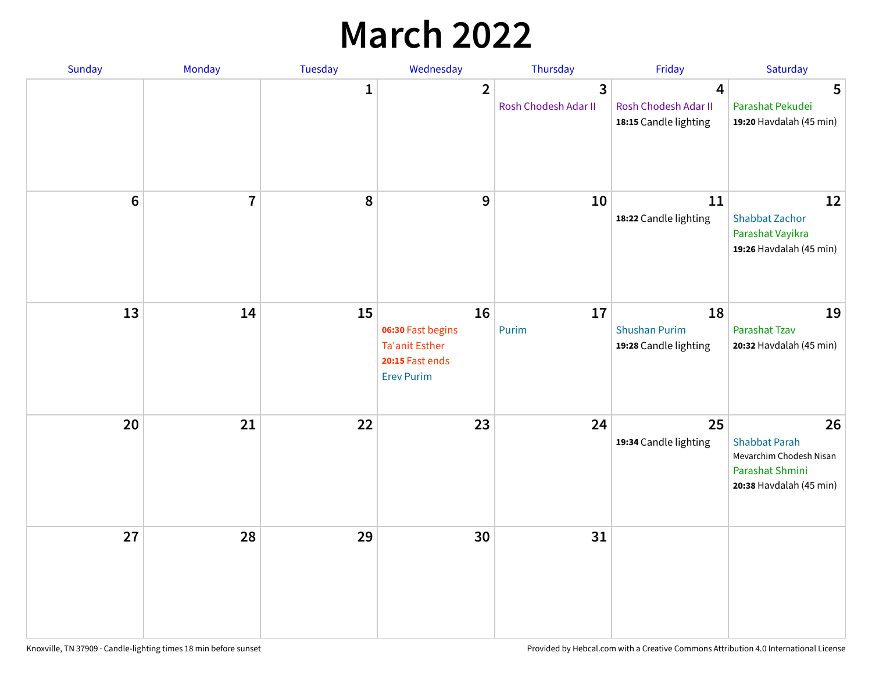## **March 2022**

| Sunday         | Monday         | <b>Tuesday</b> | Wednesday                                                                                | Thursday                  | Friday                                              | Saturday                                                                                            |
|----------------|----------------|----------------|------------------------------------------------------------------------------------------|---------------------------|-----------------------------------------------------|-----------------------------------------------------------------------------------------------------|
|                |                | $\mathbf{1}$   | $\overline{2}$                                                                           | 3<br>Rosh Chodesh Adar II | 4<br>Rosh Chodesh Adar II<br>18:15 Candle lighting  | 5<br>Parashat Pekudei<br>19:20 Havdalah (45 min)                                                    |
| $6\phantom{1}$ | $\overline{7}$ | 8              | 9                                                                                        | 10                        | 11<br>18:22 Candle lighting                         | 12<br><b>Shabbat Zachor</b><br>Parashat Vayikra<br>19:26 Havdalah (45 min)                          |
| 13             | 14             | 15             | 16<br>06:30 Fast begins<br><b>Ta'anit Esther</b><br>20:15 Fast ends<br><b>Erev Purim</b> | 17<br>Purim               | 18<br><b>Shushan Purim</b><br>19:28 Candle lighting | 19<br>Parashat Tzav<br>20:32 Havdalah (45 min)                                                      |
| 20             | 21             | 22             | 23                                                                                       | 24                        | 25<br>19:34 Candle lighting                         | 26<br><b>Shabbat Parah</b><br>Mevarchim Chodesh Nisan<br>Parashat Shmini<br>20:38 Havdalah (45 min) |
| 27             | 28             | 29             | 30                                                                                       | 31                        |                                                     |                                                                                                     |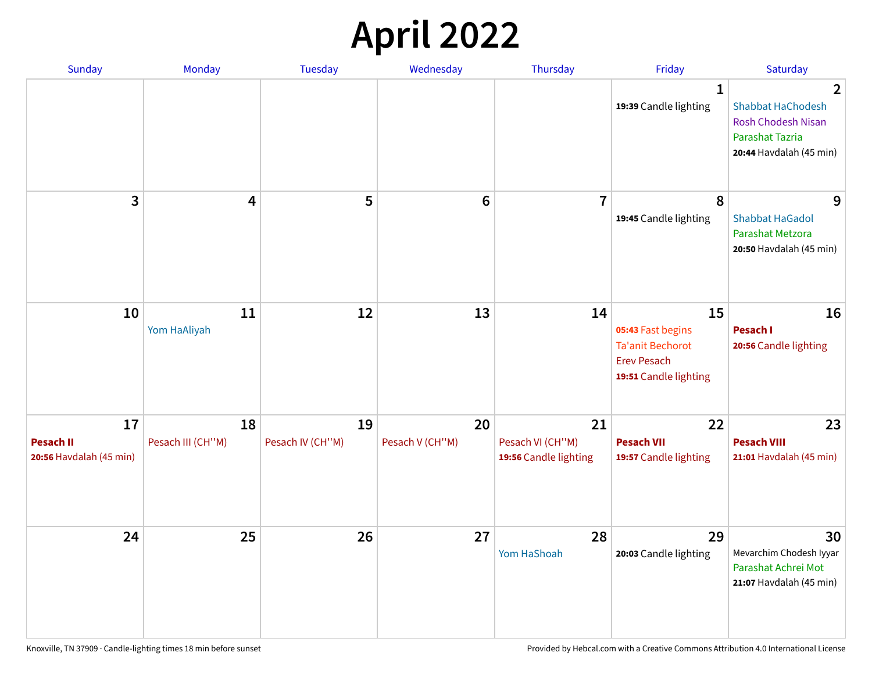## **April 2022**

| <b>Sunday</b>                                     | Monday                  | <b>Tuesday</b>         | Wednesday             | Thursday                                        | Friday                                                                                     | Saturday                                                                                                        |
|---------------------------------------------------|-------------------------|------------------------|-----------------------|-------------------------------------------------|--------------------------------------------------------------------------------------------|-----------------------------------------------------------------------------------------------------------------|
|                                                   |                         |                        |                       |                                                 | $\mathbf{1}$<br>19:39 Candle lighting                                                      | 2<br><b>Shabbat HaChodesh</b><br><b>Rosh Chodesh Nisan</b><br><b>Parashat Tazria</b><br>20:44 Havdalah (45 min) |
| 3                                                 | 4                       | 5                      | $6\phantom{1}$        | $\overline{7}$                                  | 8<br>19:45 Candle lighting                                                                 | 9<br><b>Shabbat HaGadol</b><br>Parashat Metzora<br>20:50 Havdalah (45 min)                                      |
| 10                                                | 11<br>Yom HaAliyah      | 12                     | 13                    | 14                                              | 15<br>05:43 Fast begins<br>Ta'anit Bechorot<br><b>Erev Pesach</b><br>19:51 Candle lighting | 16<br>Pesach I<br>20:56 Candle lighting                                                                         |
| 17<br><b>Pesach II</b><br>20:56 Havdalah (45 min) | 18<br>Pesach III (CH"M) | 19<br>Pesach IV (CH"M) | 20<br>Pesach V (CH"M) | 21<br>Pesach VI (CH"M)<br>19:56 Candle lighting | 22<br><b>Pesach VII</b><br>19:57 Candle lighting                                           | 23<br><b>Pesach VIII</b><br>21:01 Havdalah (45 min)                                                             |
| 24                                                | 25                      | 26                     | 27                    | 28<br>Yom HaShoah                               | 29<br>20:03 Candle lighting                                                                | 30<br>Mevarchim Chodesh Iyyar<br>Parashat Achrei Mot<br>21:07 Havdalah (45 min)                                 |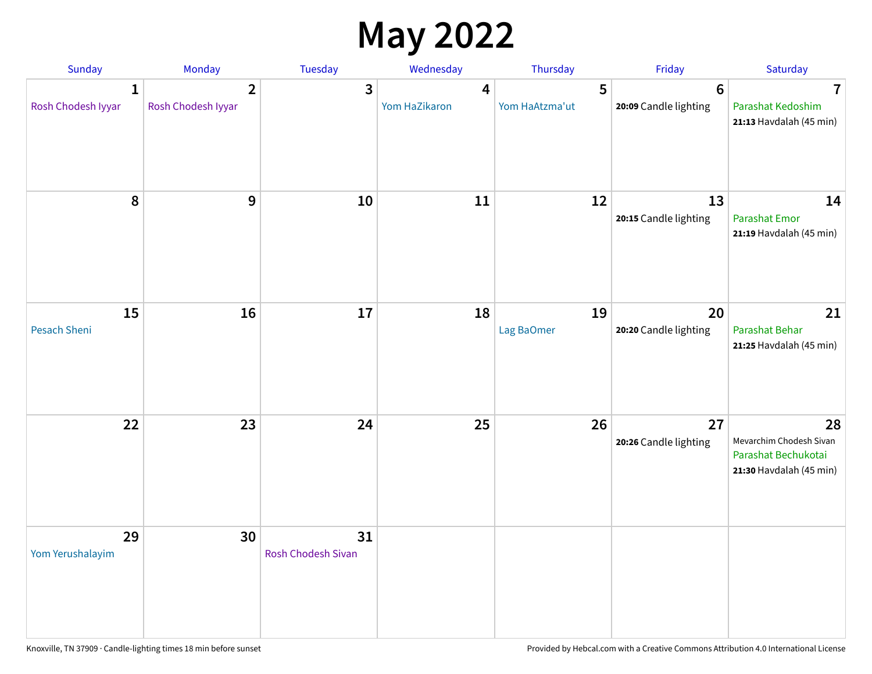## **May 2022**

| Sunday                             | Monday                               | Tuesday                         | Wednesday          | Thursday            | Friday                                   | Saturday                                                                        |
|------------------------------------|--------------------------------------|---------------------------------|--------------------|---------------------|------------------------------------------|---------------------------------------------------------------------------------|
| $\mathbf{1}$<br>Rosh Chodesh Iyyar | $\overline{2}$<br>Rosh Chodesh Iyyar | 3                               | 4<br>Yom HaZikaron | 5<br>Yom HaAtzma'ut | $6\phantom{1}6$<br>20:09 Candle lighting | $\overline{\mathbf{7}}$<br>Parashat Kedoshim<br>21:13 Havdalah (45 min)         |
| 8                                  | 9                                    | 10                              | 11                 | 12                  | 13<br>20:15 Candle lighting              | 14<br><b>Parashat Emor</b><br>21:19 Havdalah (45 min)                           |
| 15<br>Pesach Sheni                 | 16                                   | 17                              | 18                 | 19<br>Lag BaOmer    | 20<br>20:20 Candle lighting              | 21<br>Parashat Behar<br>21:25 Havdalah (45 min)                                 |
| 22                                 | 23                                   | 24                              | 25                 | 26                  | 27<br>20:26 Candle lighting              | 28<br>Mevarchim Chodesh Sivan<br>Parashat Bechukotai<br>21:30 Havdalah (45 min) |
| 29<br>Yom Yerushalayim             | 30                                   | 31<br><b>Rosh Chodesh Sivan</b> |                    |                     |                                          |                                                                                 |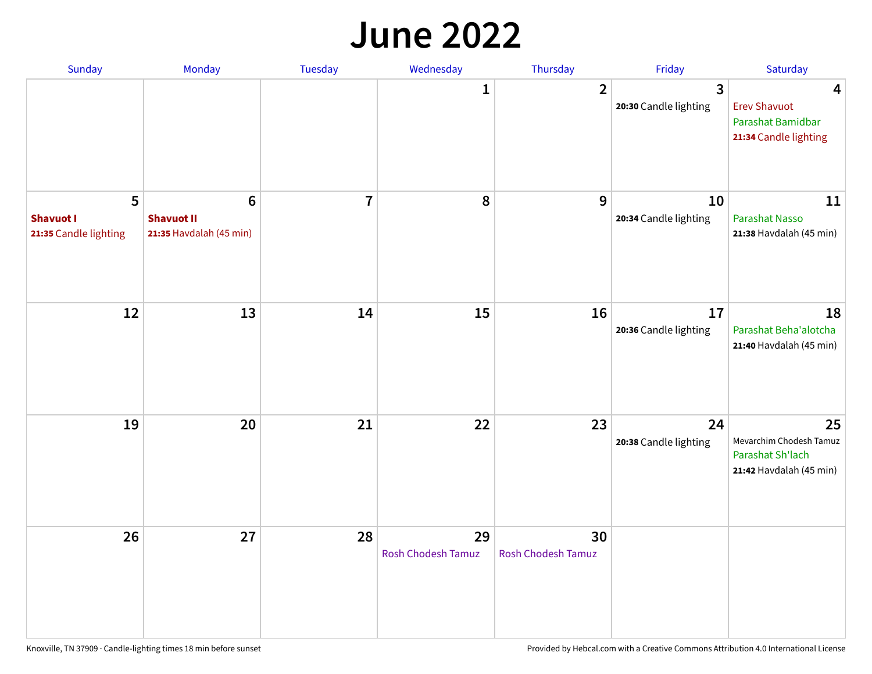#### **June 2022**

| Sunday                                         | Monday                                                         | Tuesday        | Wednesday                       | Thursday                        | Friday                      | Saturday                                                                     |
|------------------------------------------------|----------------------------------------------------------------|----------------|---------------------------------|---------------------------------|-----------------------------|------------------------------------------------------------------------------|
|                                                |                                                                |                | 1                               | $\overline{2}$                  | 3<br>20:30 Candle lighting  | 4<br><b>Erev Shavuot</b><br>Parashat Bamidbar<br>21:34 Candle lighting       |
| 5<br><b>Shavuot I</b><br>21:35 Candle lighting | $6\phantom{1}$<br><b>Shavuot II</b><br>21:35 Havdalah (45 min) | $\overline{7}$ | 8                               | 9                               | 10<br>20:34 Candle lighting | 11<br><b>Parashat Nasso</b><br>21:38 Havdalah (45 min)                       |
| 12                                             | 13                                                             | 14             | 15                              | 16                              | 17<br>20:36 Candle lighting | 18<br>Parashat Beha'alotcha<br>21:40 Havdalah (45 min)                       |
| 19                                             | 20                                                             | 21             | 22                              | 23                              | 24<br>20:38 Candle lighting | 25<br>Mevarchim Chodesh Tamuz<br>Parashat Sh'lach<br>21:42 Havdalah (45 min) |
| 26                                             | 27                                                             | 28             | 29<br><b>Rosh Chodesh Tamuz</b> | 30<br><b>Rosh Chodesh Tamuz</b> |                             |                                                                              |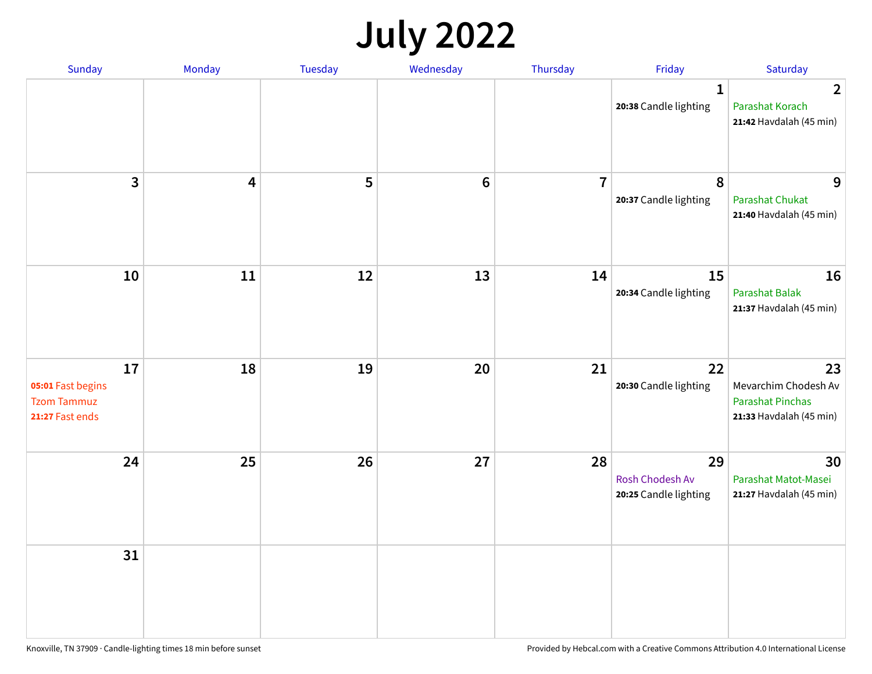## **July 2022**

| Sunday                                                           | Monday | Tuesday | Wednesday       | Thursday       | Friday                                         | Saturday                                                                         |
|------------------------------------------------------------------|--------|---------|-----------------|----------------|------------------------------------------------|----------------------------------------------------------------------------------|
|                                                                  |        |         |                 |                | $\mathbf{1}$<br>20:38 Candle lighting          | $\overline{2}$<br>Parashat Korach<br>21:42 Havdalah (45 min)                     |
| $\overline{\mathbf{3}}$                                          | 4      | 5       | $6\phantom{1}6$ | $\overline{7}$ | 8<br>20:37 Candle lighting                     | 9<br><b>Parashat Chukat</b><br>21:40 Havdalah (45 min)                           |
| 10                                                               | 11     | 12      | 13              | 14             | 15<br>20:34 Candle lighting                    | 16<br>Parashat Balak<br>21:37 Havdalah (45 min)                                  |
| 17<br>05:01 Fast begins<br><b>Tzom Tammuz</b><br>21:27 Fast ends | 18     | 19      | 20              | 21             | 22<br>20:30 Candle lighting                    | 23<br>Mevarchim Chodesh Av<br><b>Parashat Pinchas</b><br>21:33 Havdalah (45 min) |
| 24                                                               | 25     | 26      | 27              | 28             | 29<br>Rosh Chodesh Av<br>20:25 Candle lighting | 30<br>Parashat Matot-Masei<br>21:27 Havdalah (45 min)                            |
| 31                                                               |        |         |                 |                |                                                |                                                                                  |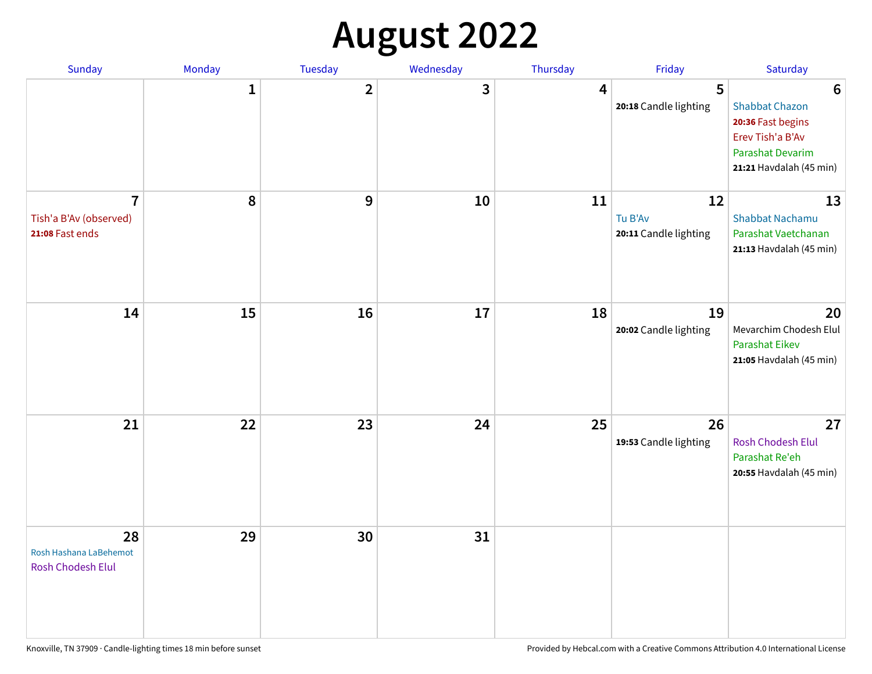# **August 2022**

| Sunday                                                      | Monday       | Tuesday                 | Wednesday | Thursday | Friday                                 | Saturday                                                                                                                         |
|-------------------------------------------------------------|--------------|-------------------------|-----------|----------|----------------------------------------|----------------------------------------------------------------------------------------------------------------------------------|
|                                                             | $\mathbf{1}$ | $\overline{\mathbf{2}}$ | 3         | 4        | 5<br>20:18 Candle lighting             | $6\phantom{1}6$<br><b>Shabbat Chazon</b><br>20:36 Fast begins<br>Erev Tish'a B'Av<br>Parashat Devarim<br>21:21 Havdalah (45 min) |
| $\overline{7}$<br>Tish'a B'Av (observed)<br>21:08 Fast ends | 8            | 9                       | 10        | 11       | 12<br>Tu B'Av<br>20:11 Candle lighting | 13<br><b>Shabbat Nachamu</b><br>Parashat Vaetchanan<br>21:13 Havdalah (45 min)                                                   |
| 14                                                          | 15           | 16                      | 17        | 18       | 19<br>20:02 Candle lighting            | 20<br>Mevarchim Chodesh Elul<br><b>Parashat Eikev</b><br>21:05 Havdalah (45 min)                                                 |
| 21                                                          | 22           | 23                      | 24        | 25       | 26<br>19:53 Candle lighting            | 27<br><b>Rosh Chodesh Elul</b><br>Parashat Re'eh<br>20:55 Havdalah (45 min)                                                      |
| 28<br>Rosh Hashana LaBehemot<br>Rosh Chodesh Elul           | 29           | 30                      | 31        |          |                                        |                                                                                                                                  |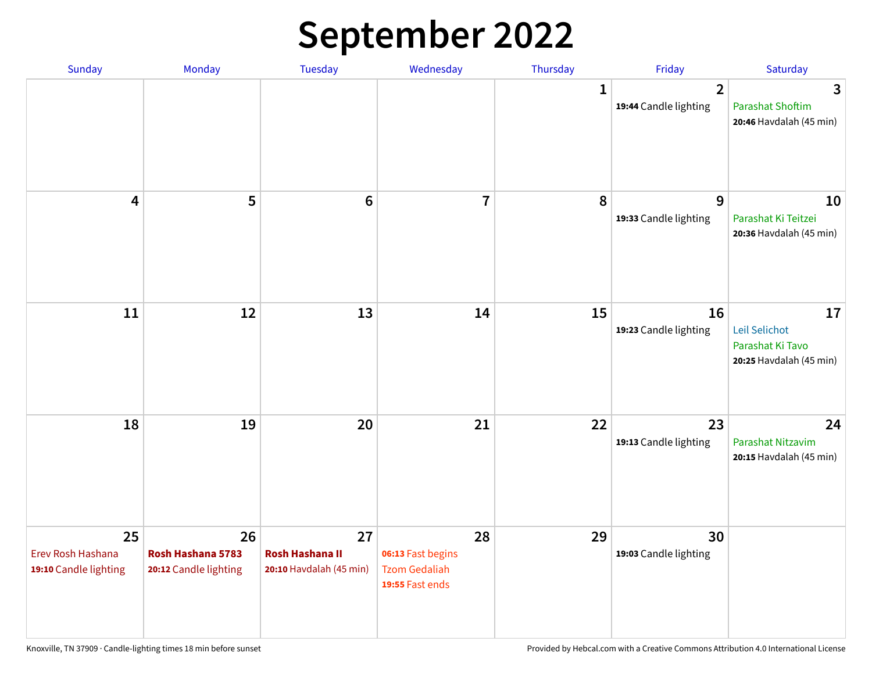## **September 2022**

| Sunday                                           | Monday                                           | Tuesday                                                 | Wednesday                                                          | Thursday | Friday                                  | Saturday                                                           |
|--------------------------------------------------|--------------------------------------------------|---------------------------------------------------------|--------------------------------------------------------------------|----------|-----------------------------------------|--------------------------------------------------------------------|
|                                                  |                                                  |                                                         |                                                                    | 1        | $\overline{2}$<br>19:44 Candle lighting | 3<br><b>Parashat Shoftim</b><br>20:46 Havdalah (45 min)            |
| 4                                                | 5                                                | $6\phantom{1}6$                                         | $\overline{7}$                                                     | 8        | 9<br>19:33 Candle lighting              | 10<br>Parashat Ki Teitzei<br>20:36 Havdalah (45 min)               |
| 11                                               | 12                                               | 13                                                      | 14                                                                 | 15       | 16<br>19:23 Candle lighting             | 17<br>Leil Selichot<br>Parashat Ki Tavo<br>20:25 Havdalah (45 min) |
| 18                                               | 19                                               | 20                                                      | 21                                                                 | 22       | 23<br>19:13 Candle lighting             | 24<br>Parashat Nitzavim<br>20:15 Havdalah (45 min)                 |
| 25<br>Erev Rosh Hashana<br>19:10 Candle lighting | 26<br>Rosh Hashana 5783<br>20:12 Candle lighting | 27<br><b>Rosh Hashana II</b><br>20:10 Havdalah (45 min) | 28<br>06:13 Fast begins<br><b>Tzom Gedaliah</b><br>19:55 Fast ends | 29       | 30<br>19:03 Candle lighting             |                                                                    |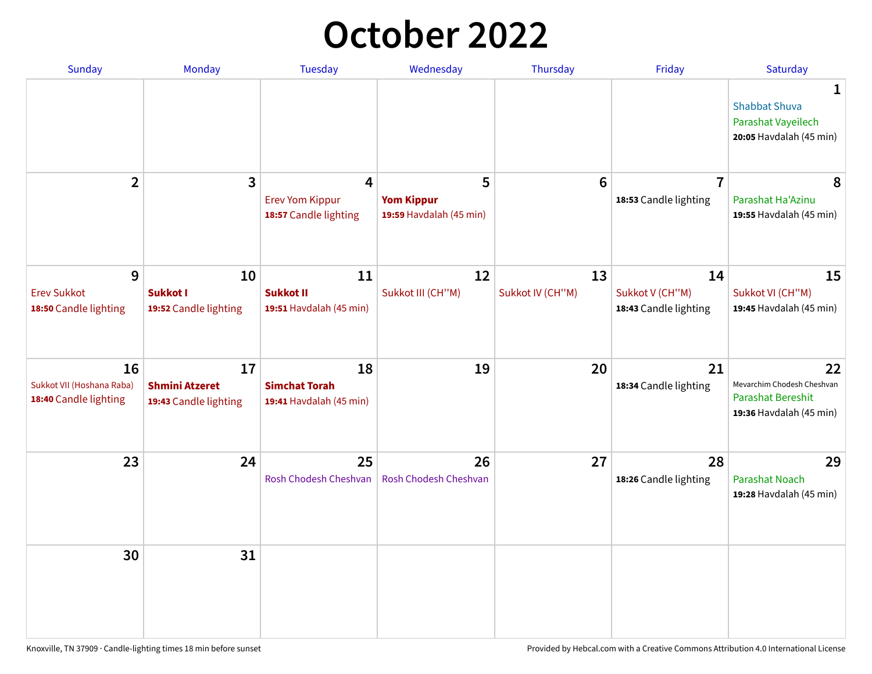## **October 2022**

| Sunday                                                   | Monday                                               | <b>Tuesday</b>                                        | Wednesday                                         | Thursday               | Friday                                         | Saturday                                                                                |
|----------------------------------------------------------|------------------------------------------------------|-------------------------------------------------------|---------------------------------------------------|------------------------|------------------------------------------------|-----------------------------------------------------------------------------------------|
|                                                          |                                                      |                                                       |                                                   |                        |                                                | 1<br><b>Shabbat Shuva</b><br>Parashat Vayeilech<br>20:05 Havdalah (45 min)              |
| $\overline{2}$                                           | 3                                                    | 4<br><b>Erev Yom Kippur</b><br>18:57 Candle lighting  | 5<br><b>Yom Kippur</b><br>19:59 Havdalah (45 min) | $6\phantom{1}6$        | $\overline{7}$<br>18:53 Candle lighting        | 8<br>Parashat Ha'Azinu<br>19:55 Havdalah (45 min)                                       |
| 9<br><b>Erev Sukkot</b><br>18:50 Candle lighting         | 10<br><b>Sukkot I</b><br>19:52 Candle lighting       | 11<br><b>Sukkot II</b><br>19:51 Havdalah (45 min)     | 12<br>Sukkot III (CH"M)                           | 13<br>Sukkot IV (CH"M) | 14<br>Sukkot V (CH"M)<br>18:43 Candle lighting | 15<br>Sukkot VI (CH"M)<br>19:45 Havdalah (45 min)                                       |
| 16<br>Sukkot VII (Hoshana Raba)<br>18:40 Candle lighting | 17<br><b>Shmini Atzeret</b><br>19:43 Candle lighting | 18<br><b>Simchat Torah</b><br>19:41 Havdalah (45 min) | 19                                                | 20                     | 21<br>18:34 Candle lighting                    | 22<br>Mevarchim Chodesh Cheshvan<br><b>Parashat Bereshit</b><br>19:36 Havdalah (45 min) |
| 23                                                       | 24                                                   | 25<br>Rosh Chodesh Cheshvan                           | 26<br><b>Rosh Chodesh Cheshvan</b>                | 27                     | 28<br>18:26 Candle lighting                    | 29<br><b>Parashat Noach</b><br>19:28 Havdalah (45 min)                                  |
| 30                                                       | 31                                                   |                                                       |                                                   |                        |                                                |                                                                                         |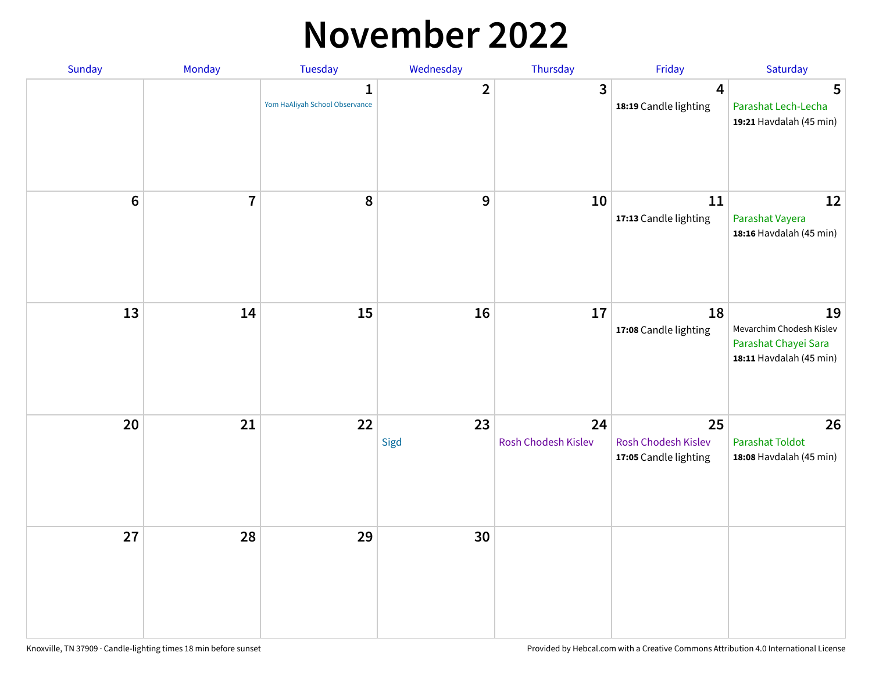#### **November 2022**

| Sunday         | Monday         | Tuesday                             | Wednesday      | Thursday                  | Friday                                             | Saturday                                                                          |
|----------------|----------------|-------------------------------------|----------------|---------------------------|----------------------------------------------------|-----------------------------------------------------------------------------------|
|                |                | 1<br>Yom HaAliyah School Observance | $\overline{2}$ | $\mathbf{3}$              | 4<br>18:19 Candle lighting                         | 5<br>Parashat Lech-Lecha<br>19:21 Havdalah (45 min)                               |
| $6\phantom{a}$ | $\overline{7}$ | 8                                   | 9              | 10                        | 11<br>17:13 Candle lighting                        | 12<br>Parashat Vayera<br>18:16 Havdalah (45 min)                                  |
| 13             | 14             | 15                                  | 16             | 17                        | 18<br>17:08 Candle lighting                        | 19<br>Mevarchim Chodesh Kislev<br>Parashat Chayei Sara<br>18:11 Havdalah (45 min) |
| 20             | 21             | 22                                  | 23<br>Sigd     | 24<br>Rosh Chodesh Kislev | 25<br>Rosh Chodesh Kislev<br>17:05 Candle lighting | 26<br><b>Parashat Toldot</b><br>18:08 Havdalah (45 min)                           |
| 27             | 28             | 29                                  | 30             |                           |                                                    |                                                                                   |